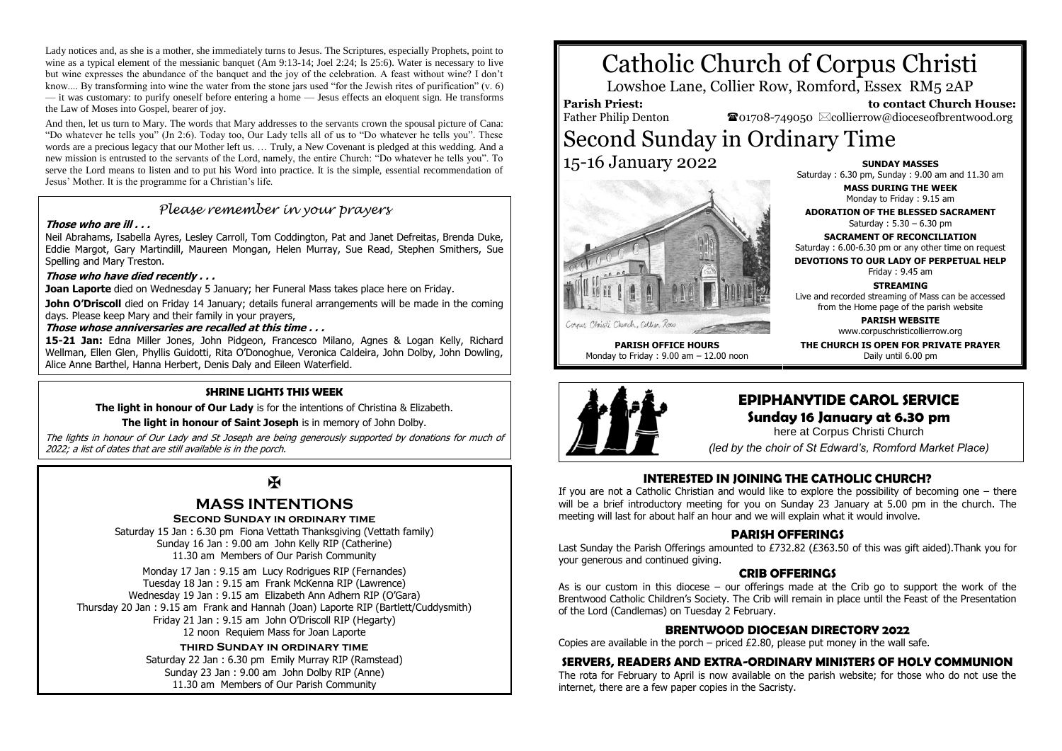Lady notices and, as she is a mother, she immediately turns to Jesus. The Scriptures, especially Prophets, point to wine as a typical element of the messianic banquet (Am 9:13-14; Joel 2:24; Is 25:6). Water is necessary to live but wine expresses the abundance of the banquet and the joy of the celebration. A feast without wine? I don't know.... By transforming into wine the water from the stone jars used "for the Jewish rites of purification" (v. 6) — it was customary: to purify oneself before entering a home — Jesus effects an eloquent sign. He transforms the Law of Moses into Gospel, bearer of joy.

And then, let us turn to Mary. The words that Mary addresses to the servants crown the spousal picture of Cana: "Do whatever he tells you" (Jn 2:6). Today too, Our Lady tells all of us to "Do whatever he tells you". These words are a precious legacy that our Mother left us. … Truly, a New Covenant is pledged at this wedding. And a new mission is entrusted to the servants of the Lord, namely, the entire Church: "Do whatever he tells you". To serve the Lord means to listen and to put his Word into practice. It is the simple, essential recommendation of Jesus' Mother. It is the programme for a Christian's life.

### *Please remember in your prayers*

### **Those who are ill . . .**

Neil Abrahams, Isabella Ayres, Lesley Carroll, Tom Coddington, Pat and Janet Defreitas, Brenda Duke, Eddie Margot, Gary Martindill, Maureen Mongan, Helen Murray, Sue Read, Stephen Smithers, Sue Spelling and Mary Treston.

### **Those who have died recently . . .**

**Joan Laporte** died on Wednesday 5 January; her Funeral Mass takes place here on Friday.

**John O'Driscoll** died on Friday 14 January; details funeral arrangements will be made in the coming days. Please keep Mary and their family in your prayers,

#### **Those whose anniversaries are recalled at this time . . .**

**15-21 Jan:** Edna Miller Jones, John Pidgeon, Francesco Milano, Agnes & Logan Kelly, Richard Wellman, Ellen Glen, Phyllis Guidotti, Rita O'Donoghue, Veronica Caldeira, John Dolby, John Dowling, Alice Anne Barthel, Hanna Herbert, Denis Daly and Eileen Waterfield.

### **SHRINE LIGHTS THIS WEEK**

**The light in honour of Our Lady** is for the intentions of Christina & Elizabeth.

### **The light in honour of Saint Joseph** is in memory of John Dolby.

The lights in honour of Our Lady and St Joseph are being generously supported by donations for much of 2022; a list of dates that are still available is in the porch.

### $\overline{\mathbf{R}}$

### **MASS INTENTIONS**

#### **Second Sunday in ordinary time**

Saturday 15 Jan : 6.30 pm Fiona Vettath Thanksgiving (Vettath family) Sunday 16 Jan : 9.00 am John Kelly RIP (Catherine) 11.30 am Members of Our Parish Community

Monday 17 Jan : 9.15 am Lucy Rodrigues RIP (Fernandes) Tuesday 18 Jan : 9.15 am Frank McKenna RIP (Lawrence) Wednesday 19 Jan : 9.15 am Elizabeth Ann Adhern RIP (O'Gara) Thursday 20 Jan : 9.15 am Frank and Hannah (Joan) Laporte RIP (Bartlett/Cuddysmith) Friday 21 Jan : 9.15 am John O'Driscoll RIP (Hegarty) 12 noon Requiem Mass for Joan Laporte

### **third Sunday in ordinary time**

Saturday 22 Jan : 6.30 pm Emily Murray RIP (Ramstead) Sunday 23 Jan : 9.00 am John Dolby RIP (Anne) 11.30 am Members of Our Parish Community

# Catholic Church of Corpus Christi

Lowshoe Lane, Collier Row, Romford, Essex RM5 2AP

### **Parish Priest:**

Father Philip Denton

 **to contact Church House:**  $\mathbf{\Omega}_{01708\text{-}749050}$   $\boxtimes$  collierrow@dioceseofbrentwood.org

## Second Sunday in Ordinary Time 15-16 January 2022



Cornus Christi Church, Collier Row

**PARISH OFFICE HOURS** Monday to Friday : 9.00 am – 12.00 noon **SUNDAY MASSES**

Saturday : 6.30 pm, Sunday : 9.00 am and 11.30 am

**MASS DURING THE WEEK** Monday to Friday : 9.15 am

**ADORATION OF THE BLESSED SACRAMENT** Saturday : 5.30 – 6.30 pm

**SACRAMENT OF RECONCILIATION** Saturday : 6.00-6.30 pm or any other time on request

**DEVOTIONS TO OUR LADY OF PERPETUAL HELP** Friday : 9.45 am

**STREAMING**

Live and recorded streaming of Mass can be accessed from the Home page of the parish website

> **PARISH WEBSITE** www.corpuschristicollierrow.org

**THE CHURCH IS OPEN FOR PRIVATE PRAYER** Daily until 6.00 pm



## **EPIPHANYTIDE CAROL SERVICE**

### **Sunday 16 January at 6.30 pm**

here at Corpus Christi Church

*(led by the choir of St Edward's, Romford Market Place)*

### **INTERESTED IN JOINING THE CATHOLIC CHURCH?**

If you are not a Catholic Christian and would like to explore the possibility of becoming one – there will be a brief introductory meeting for you on Sunday 23 January at 5.00 pm in the church. The meeting will last for about half an hour and we will explain what it would involve.

### **PARISH OFFERINGS**

Last Sunday the Parish Offerings amounted to £732.82 (£363.50 of this was gift aided).Thank you for your generous and continued giving.

### **CRIB OFFERINGS**

As is our custom in this diocese – our offerings made at the Crib go to support the work of the Brentwood Catholic Children's Society. The Crib will remain in place until the Feast of the Presentation of the Lord (Candlemas) on Tuesday 2 February.

### **BRENTWOOD DIOCESAN DIRECTORY 2022**

Copies are available in the porch – priced  $£2.80$ , please put money in the wall safe.

### **SERVERS, READERS AND EXTRA-ORDINARY MINISTERS OF HOLY COMMUNION**

The rota for February to April is now available on the parish website; for those who do not use the internet, there are a few paper copies in the Sacristy.